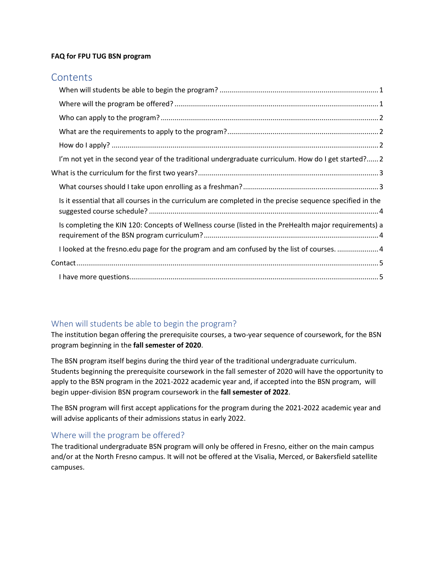#### **FAQ for FPU TUG BSN program**

## **Contents**

| I'm not yet in the second year of the traditional undergraduate curriculum. How do I get started? 2       |  |
|-----------------------------------------------------------------------------------------------------------|--|
|                                                                                                           |  |
|                                                                                                           |  |
| Is it essential that all courses in the curriculum are completed in the precise sequence specified in the |  |
| Is completing the KIN 120: Concepts of Wellness course (listed in the PreHealth major requirements) a     |  |
| I looked at the fresno.edu page for the program and am confused by the list of courses. 4                 |  |
|                                                                                                           |  |
|                                                                                                           |  |

### <span id="page-0-0"></span>When will students be able to begin the program?

The institution began offering the prerequisite courses, a two-year sequence of coursework, for the BSN program beginning in the **fall semester of 2020**.

The BSN program itself begins during the third year of the traditional undergraduate curriculum. Students beginning the prerequisite coursework in the fall semester of 2020 will have the opportunity to apply to the BSN program in the 2021-2022 academic year and, if accepted into the BSN program, will begin upper-division BSN program coursework in the **fall semester of 2022**.

The BSN program will first accept applications for the program during the 2021-2022 academic year and will advise applicants of their admissions status in early 2022.

#### <span id="page-0-1"></span>Where will the program be offered?

The traditional undergraduate BSN program will only be offered in Fresno, either on the main campus and/or at the North Fresno campus. It will not be offered at the Visalia, Merced, or Bakersfield satellite campuses.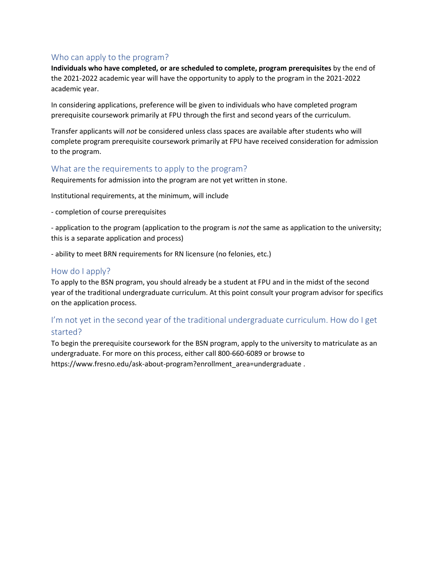#### <span id="page-1-0"></span>Who can apply to the program?

**Individuals who have completed, or are scheduled to complete, program prerequisites** by the end of the 2021-2022 academic year will have the opportunity to apply to the program in the 2021-2022 academic year.

In considering applications, preference will be given to individuals who have completed program prerequisite coursework primarily at FPU through the first and second years of the curriculum.

Transfer applicants will *not* be considered unless class spaces are available after students who will complete program prerequisite coursework primarily at FPU have received consideration for admission to the program.

#### <span id="page-1-1"></span>What are the requirements to apply to the program?

Requirements for admission into the program are not yet written in stone.

Institutional requirements, at the minimum, will include

- completion of course prerequisites

- application to the program (application to the program is *not* the same as application to the university; this is a separate application and process)

- ability to meet BRN requirements for RN licensure (no felonies, etc.)

#### <span id="page-1-2"></span>How do I apply?

To apply to the BSN program, you should already be a student at FPU and in the midst of the second year of the traditional undergraduate curriculum. At this point consult your program advisor for specifics on the application process.

## <span id="page-1-3"></span>I'm not yet in the second year of the traditional undergraduate curriculum. How do I get started?

To begin the prerequisite coursework for the BSN program, apply to the university to matriculate as an undergraduate. For more on this process, either call 800-660-6089 or browse to https://www.fresno.edu/ask-about-program?enrollment\_area=undergraduate .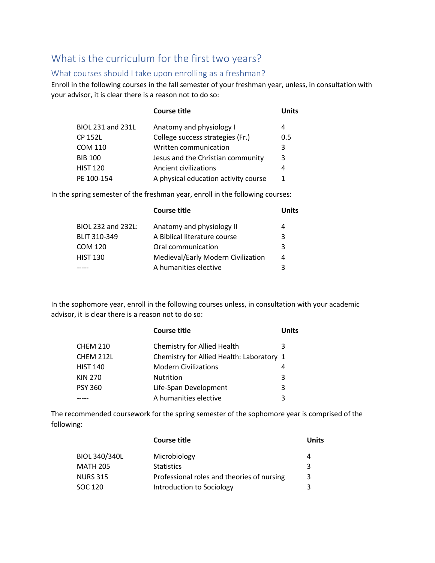# <span id="page-2-0"></span>What is the curriculum for the first two years?

#### <span id="page-2-1"></span>What courses should I take upon enrolling as a freshman?

Enroll in the following courses in the fall semester of your freshman year, unless, in consultation with your advisor, it is clear there is a reason not to do so:

|                          | <b>Course title</b>                  | <b>Units</b> |
|--------------------------|--------------------------------------|--------------|
| <b>BIOL 231 and 231L</b> | Anatomy and physiology I             | 4            |
| <b>CP 152L</b>           | College success strategies (Fr.)     | 0.5          |
| <b>COM 110</b>           | Written communication                | 3            |
| <b>BIB 100</b>           | Jesus and the Christian community    | 3            |
| <b>HIST 120</b>          | Ancient civilizations                | 4            |
| PE 100-154               | A physical education activity course | 1            |

In the spring semester of the freshman year, enroll in the following courses:

|                     | <b>Course title</b>                | Units |
|---------------------|------------------------------------|-------|
| BIOL 232 and 232L:  | Anatomy and physiology II          | 4     |
| <b>BLIT 310-349</b> | A Biblical literature course       | 3     |
| <b>COM 120</b>      | Oral communication                 | 3     |
| <b>HIST 130</b>     | Medieval/Early Modern Civilization | 4     |
|                     | A humanities elective              | 3     |

In the sophomore year, enroll in the following courses unless, in consultation with your academic advisor, it is clear there is a reason not to do so:

|                 | <b>Course title</b>                       | Units |
|-----------------|-------------------------------------------|-------|
| <b>CHEM 210</b> | Chemistry for Allied Health               | 3     |
| CHEM 212L       | Chemistry for Allied Health: Laboratory 1 |       |
| <b>HIST 140</b> | <b>Modern Civilizations</b>               | 4     |
| KIN 270         | <b>Nutrition</b>                          | 3     |
| PSY 360         | Life-Span Development                     | 3     |
|                 | A humanities elective                     | 3     |

The recommended coursework for the spring semester of the sophomore year is comprised of the following:

|                      | <b>Course title</b>                        | Units |
|----------------------|--------------------------------------------|-------|
| <b>BIOL 340/340L</b> | Microbiology                               | 4     |
| <b>MATH 205</b>      | <b>Statistics</b>                          | 3     |
| <b>NURS 315</b>      | Professional roles and theories of nursing | 3     |
| SOC 120              | Introduction to Sociology                  | 3     |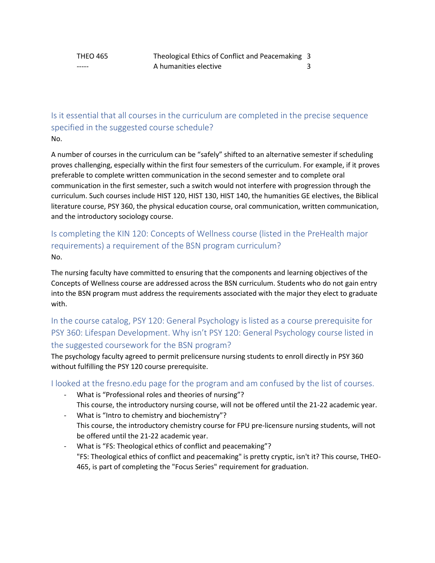<span id="page-3-0"></span>Is it essential that all courses in the curriculum are completed in the precise sequence specified in the suggested course schedule? No.

A number of courses in the curriculum can be "safely" shifted to an alternative semester if scheduling proves challenging, especially within the first four semesters of the curriculum. For example, if it proves preferable to complete written communication in the second semester and to complete oral communication in the first semester, such a switch would not interfere with progression through the curriculum. Such courses include HIST 120, HIST 130, HIST 140, the humanities GE electives, the Biblical literature course, PSY 360, the physical education course, oral communication, written communication, and the introductory sociology course.

## <span id="page-3-1"></span>Is completing the KIN 120: Concepts of Wellness course (listed in the PreHealth major requirements) a requirement of the BSN program curriculum? No.

The nursing faculty have committed to ensuring that the components and learning objectives of the Concepts of Wellness course are addressed across the BSN curriculum. Students who do not gain entry into the BSN program must address the requirements associated with the major they elect to graduate with.

## In the course catalog, PSY 120: General Psychology is listed as a course prerequisite for PSY 360: Lifespan Development. Why isn't PSY 120: General Psychology course listed in the suggested coursework for the BSN program?

The psychology faculty agreed to permit prelicensure nursing students to enroll directly in PSY 360 without fulfilling the PSY 120 course prerequisite.

### <span id="page-3-2"></span>I looked at the fresno.edu page for the program and am confused by the list of courses.

- What is "Professional roles and theories of nursing"? This course, the introductory nursing course, will not be offered until the 21-22 academic year.
- What is "Intro to chemistry and biochemistry"? This course, the introductory chemistry course for FPU pre-licensure nursing students, will not be offered until the 21-22 academic year.
- What is "FS: Theological ethics of conflict and peacemaking"? "FS: Theological ethics of conflict and peacemaking" is pretty cryptic, isn't it? This course, THEO-465, is part of completing the "Focus Series" requirement for graduation.